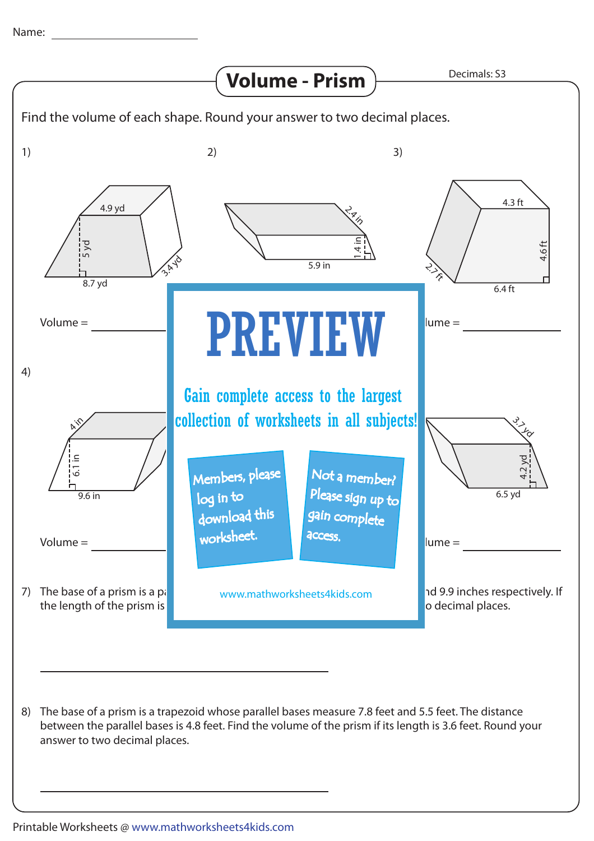